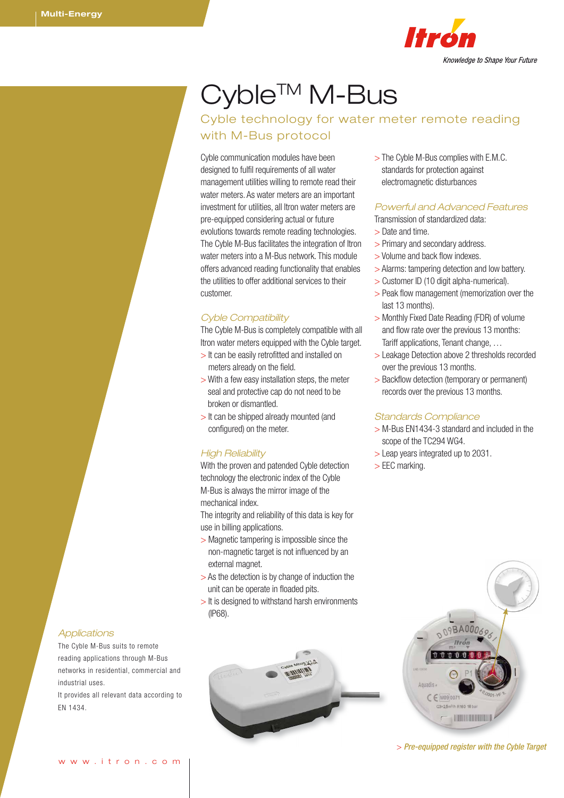

# Cyble<sup>™</sup> M-Bus

# Cyble technology for water meter remote reading with M-Bus protocol

Cyble communication modules have been designed to fulfil requirements of all water management utilities willing to remote read their water meters. As water meters are an important investment for utilities, all Itron water meters are pre-equipped considering actual or future evolutions towards remote reading technologies. The Cyble M-Bus facilitates the integration of Itron water meters into a M-Bus network. This module offers advanced reading functionality that enables the utilities to offer additional services to their customer.

### *Cyble Compatibility*

The Cyble M-Bus is completely compatible with all Itron water meters equipped with the Cyble target.

- > It can be easily retrofitted and installed on meters already on the field.
- > With a few easy installation steps, the meter seal and protective cap do not need to be broken or dismantled.
- > It can be shipped already mounted (and configured) on the meter.

## *High Reliability*

With the proven and patended Cyble detection technology the electronic index of the Cyble M-Bus is always the mirror image of the mechanical index.

The integrity and reliability of this data is key for use in billing applications.

- > Magnetic tampering is impossible since the non-magnetic target is not influenced by an external magnet.
- > As the detection is by change of induction the unit can be operate in floaded pits.
- > It is designed to withstand harsh environments (IP68).

> The Cyble M-Bus complies with E.M.C. standards for protection against electromagnetic disturbances

## *Powerful and Advanced Features*

Transmission of standardized data:

- > Date and time.
- > Primary and secondary address.
- > Volume and back flow indexes.
- > Alarms: tampering detection and low battery.
- > Customer ID (10 digit alpha-numerical).
- > Peak flow management (memorization over the last 13 months).
- > Monthly Fixed Date Reading (FDR) of volume and flow rate over the previous 13 months: Tariff applications, Tenant change, …
- > Leakage Detection above 2 thresholds recorded over the previous 13 months.
- > Backflow detection (temporary or permanent) records over the previous 13 months.

#### *Standards Compliance*

- > M-Bus EN1434-3 standard and included in the scope of the TC294 WG4.
- > Leap years integrated up to 2031.
- > EEC marking.



> *Pre-equipped register with the Cyble Target*

#### *Applications*

The Cyble M-Bus suits to remote reading applications through M-Bus networks in residential, commercial and industrial uses.

It provides all relevant data according to EN 1434.